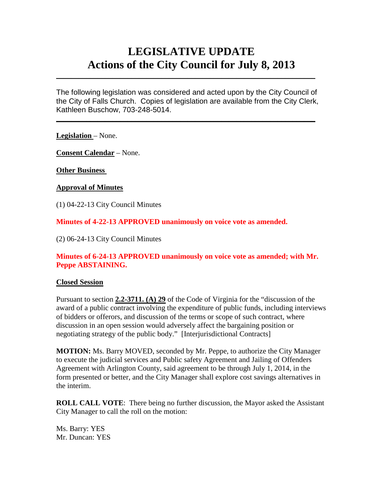# **LEGISLATIVE UPDATE Actions of the City Council for July 8, 2013**

The following legislation was considered and acted upon by the City Council of the City of Falls Church. Copies of legislation are available from the City Clerk, Kathleen Buschow, 703-248-5014.

 $\mathcal{L}_\text{max}$  and  $\mathcal{L}_\text{max}$  and  $\mathcal{L}_\text{max}$  and  $\mathcal{L}_\text{max}$  and  $\mathcal{L}_\text{max}$  and  $\mathcal{L}_\text{max}$ 

 $\mathcal{L}_\text{max}$  and  $\mathcal{L}_\text{max}$  and  $\mathcal{L}_\text{max}$  and  $\mathcal{L}_\text{max}$  and  $\mathcal{L}_\text{max}$  and  $\mathcal{L}_\text{max}$ 

**Legislation** – None.

**Consent Calendar** – None.

**Other Business**

## **Approval of Minutes**

(1) 04-22-13 City Council Minutes

**Minutes of 4-22-13 APPROVED unanimously on voice vote as amended.**

(2) 06-24-13 City Council Minutes

## **Minutes of 6-24-13 APPROVED unanimously on voice vote as amended; with Mr. Peppe ABSTAINING.**

#### **Closed Session**

Pursuant to section **2.2-3711. (A) 29** of the Code of Virginia for the "discussion of the award of a public contract involving the expenditure of public funds, including interviews of bidders or offerors, and discussion of the terms or scope of such contract, where discussion in an open session would adversely affect the bargaining position or negotiating strategy of the public body." [Interjurisdictional Contracts]

**MOTION:** Ms. Barry MOVED, seconded by Mr. Peppe, to authorize the City Manager to execute the judicial services and Public safety Agreement and Jailing of Offenders Agreement with Arlington County, said agreement to be through July 1, 2014, in the form presented or better, and the City Manager shall explore cost savings alternatives in the interim.

**ROLL CALL VOTE**: There being no further discussion, the Mayor asked the Assistant City Manager to call the roll on the motion:

Ms. Barry: YES Mr. Duncan: YES